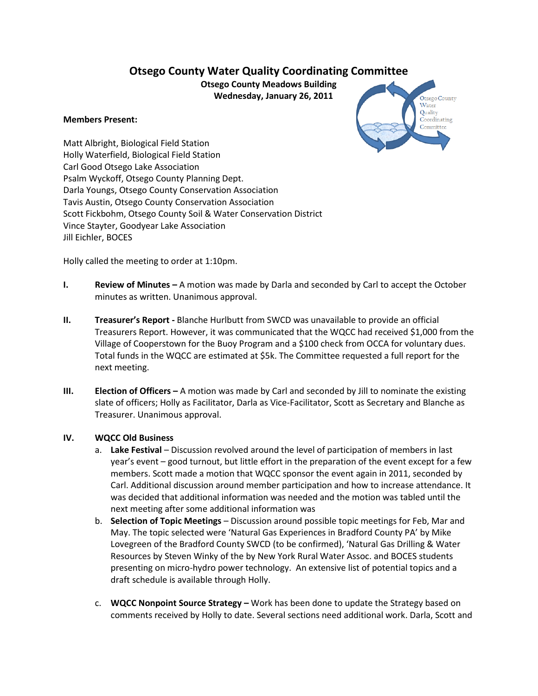# **Otsego County Water Quality Coordinating Committee**

**Otsego County Meadows Building Wednesday, January 26, 2011**

#### **Members Present:**



Matt Albright, Biological Field Station Holly Waterfield, Biological Field Station Carl Good Otsego Lake Association Psalm Wyckoff, Otsego County Planning Dept. Darla Youngs, Otsego County Conservation Association Tavis Austin, Otsego County Conservation Association Scott Fickbohm, Otsego County Soil & Water Conservation District Vince Stayter, Goodyear Lake Association Jill Eichler, BOCES

Holly called the meeting to order at 1:10pm.

- **I. Review of Minutes –** A motion was made by Darla and seconded by Carl to accept the October minutes as written. Unanimous approval.
- **II. Treasurer's Report -** Blanche Hurlbutt from SWCD was unavailable to provide an official Treasurers Report. However, it was communicated that the WQCC had received \$1,000 from the Village of Cooperstown for the Buoy Program and a \$100 check from OCCA for voluntary dues. Total funds in the WQCC are estimated at \$5k. The Committee requested a full report for the next meeting.
- **III. Election of Officers –** A motion was made by Carl and seconded by Jill to nominate the existing slate of officers; Holly as Facilitator, Darla as Vice-Facilitator, Scott as Secretary and Blanche as Treasurer. Unanimous approval.

#### **IV. WQCC Old Business**

- a. **Lake Festival** Discussion revolved around the level of participation of members in last year's event – good turnout, but little effort in the preparation of the event except for a few members. Scott made a motion that WQCC sponsor the event again in 2011, seconded by Carl. Additional discussion around member participation and how to increase attendance. It was decided that additional information was needed and the motion was tabled until the next meeting after some additional information was
- b. **Selection of Topic Meetings**  Discussion around possible topic meetings for Feb, Mar and May. The topic selected were 'Natural Gas Experiences in Bradford County PA' by Mike Lovegreen of the Bradford County SWCD (to be confirmed), 'Natural Gas Drilling & Water Resources by Steven Winky of the by New York Rural Water Assoc. and BOCES students presenting on micro-hydro power technology. An extensive list of potential topics and a draft schedule is available through Holly.
- c. **WQCC Nonpoint Source Strategy –** Work has been done to update the Strategy based on comments received by Holly to date. Several sections need additional work. Darla, Scott and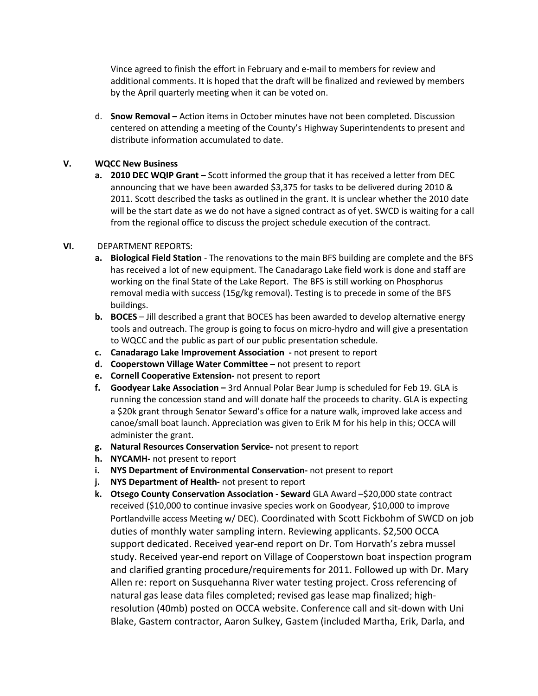Vince agreed to finish the effort in February and e-mail to members for review and additional comments. It is hoped that the draft will be finalized and reviewed by members by the April quarterly meeting when it can be voted on.

d. **Snow Removal –** Action items in October minutes have not been completed. Discussion centered on attending a meeting of the County's Highway Superintendents to present and distribute information accumulated to date.

### **V. WQCC New Business**

**a. 2010 DEC WQIP Grant –** Scott informed the group that it has received a letter from DEC announcing that we have been awarded \$3,375 for tasks to be delivered during 2010 & 2011. Scott described the tasks as outlined in the grant. It is unclear whether the 2010 date will be the start date as we do not have a signed contract as of yet. SWCD is waiting for a call from the regional office to discuss the project schedule execution of the contract.

## **VI.** DEPARTMENT REPORTS:

- **a.** Biological Field Station The renovations to the main BFS building are complete and the BFS has received a lot of new equipment. The Canadarago Lake field work is done and staff are working on the final State of the Lake Report. The BFS is still working on Phosphorus removal media with success (15g/kg removal). Testing is to precede in some of the BFS buildings.
- **b. BOCES**  Jill described a grant that BOCES has been awarded to develop alternative energy tools and outreach. The group is going to focus on micro-hydro and will give a presentation to WQCC and the public as part of our public presentation schedule.
- **c. Canadarago Lake Improvement Association -** not present to report
- **d. Cooperstown Village Water Committee –** not present to report
- **e. Cornell Cooperative Extension-** not present to report
- **f. Goodyear Lake Association –** 3rd Annual Polar Bear Jump is scheduled for Feb 19. GLA is running the concession stand and will donate half the proceeds to charity. GLA is expecting a \$20k grant through Senator Seward's office for a nature walk, improved lake access and canoe/small boat launch. Appreciation was given to Erik M for his help in this; OCCA will administer the grant.
- **g. Natural Resources Conservation Service-** not present to report
- **h. NYCAMH-** not present to report
- **i. NYS Department of Environmental Conservation-** not present to report
- **j. NYS Department of Health-** not present to report
- **k.** Otsego County Conservation Association Seward GLA Award –\$20,000 state contract received (\$10,000 to continue invasive species work on Goodyear, \$10,000 to improve Portlandville access Meeting w/ DEC). Coordinated with Scott Fickbohm of SWCD on job duties of monthly water sampling intern. Reviewing applicants. \$2,500 OCCA support dedicated. Received year-end report on Dr. Tom Horvath's zebra mussel study. Received year-end report on Village of Cooperstown boat inspection program and clarified granting procedure/requirements for 2011. Followed up with Dr. Mary Allen re: report on Susquehanna River water testing project. Cross referencing of natural gas lease data files completed; revised gas lease map finalized; highresolution (40mb) posted on OCCA website. Conference call and sit-down with Uni Blake, Gastem contractor, Aaron Sulkey, Gastem (included Martha, Erik, Darla, and